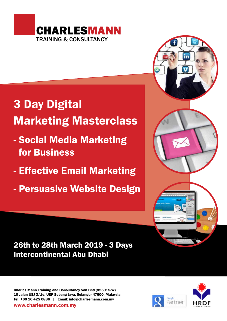

# 3 Day Digital Marketing Masterclass

- Social Media Marketing for Business
- Effective Email Marketing
- Persuasive Website Design



# 26th to 28th March 2019 - 3 Days Intercontinental Abu Dhabi

Charles Mann Training and Consultancy Sdn Bhd (825915-W) 10 Jalan USJ 3/1e, UEP Subang Jaya, Selangor 47600, Malaysia Tel: +60 10 425 0886 | Email: info@charlesmann.com.my



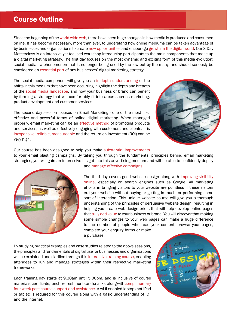### Course Outline

Since the beginning of the world wide web, there have been huge changes in how media is produced and consumed online. It has become necessary, more than ever, to understand how online mediums can be taken advantage of by businesses and organisations to create new opportunities and encourage growth in the digital world. Our 3 Day Masterclass is an intensive yet focused workshop introducing participants to the main components that make up a digital marketing strategy. The first day focuses on the most dynamic and exciting form of this media evolution; social media - a phenomenon that is no longer being used by the few but by the many, and should seriously be considered an essential part of any businesses' digital marketing strategy.

The social media component will give you an in-depth understanding of the shifts in this medium that have been occurring; highlight the depth and breadth of the social media landscape, and how your business or brand can benefit by forming a strategy that will comfortably fit into areas such as marketing, product development and customer services.

The second day session focuses on Email Marketing - one of the most cost effective and powerful forms of online digital marketing. When managed properly, email marketing can be an effective method of promoting products and services, as well as effectively engaging with customers and clients. It is inexpensive, reliable, measureable and the return on investment (ROI) can be very high.



Our course has been designed to help you make substantial improvements

to your email blasting campaigns. By taking you through the fundamental principles behind email marketing strategies, you will gain an impressive insight into this advertising medium and will be able to confidently deploy and manage effective campaigns.



The third day covers good website design along with improving visibility online, especially on search engines such as Google. All marketing efforts in bringing visitors to your website are pointless if these visitors exit your website without buying or getting in touch, or performing some sort of interaction. This unique website course will give you a thorough understanding of the principles of persuasive website design, resulting in helping you create web design briefs that will help develop online pages that truly add value to your business or brand. You will discover that making some simple changes to your web pages can make a huge difference to the number of people who read your content, browse your pages, complete your enquiry forms or make

a purchase.

By studying practical examples and case studies related to the above sessions, the principles and fundamentals of digital use for businesses and organisations will be explained and clarified through this interactive training course, enabling attendees to run and manage strategies within their respective marketing frameworks.

Each training day starts at 9.30am until 5.00pm, and is inclusive of course materials, certificate, lunch, refreshments and snacks, along with complimentary four week post course support and assistance. A wi-fi enabled laptop (not iPad or tablet) is required for this course along with a basic understanding of ICT and the internet.

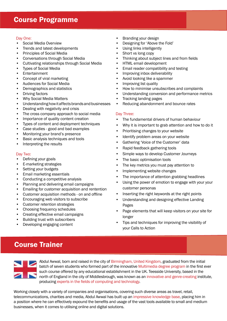# Course Programme

#### Day One:

- Social Media Overview
- Trends and latest developments
- Principles of Social Media
- Conversations through Social Media
- Cultivating relationships through Social Media
- Types of Social Media
- Entertainment
- Concept of viral marketing
- Audiences for Social Media
- Demographics and statistics
- Driving factors
- Why Social Media Matters
- Understanding how it affects brands and businesses
- Dealing with negativity and crisis
- The cross company approach to social media
- Importance of quality content creation
- Types of content and deployment techniques
- Case studies good and bad examples
- Monitoring your brand's presence
- Basic analysis techniques and tools
- Interpreting the results

#### Day Two:

- Defining your goals
- E-marketing strategies
- Setting your budgets
- Email marketing essentials
- Conducting a competitive analysis
- Planning and delivering email campaigns
- Emailing for customer acquisition and rentention
- Customer acquisition methods on and offline
- Encouraging web visitors to subscribe
- Customer retention strategies
- Choosing frequency schedules
- Creating effective email campaigns
- Building trust with subscribers
- Developing engaging content
- Branding your design
- Designing for 'Above the Fold'
- Using links intelligently
- Short vs long copy
- Thinking about subject lines and from fields
- HTML email development
- Email reader compatibility and testing
- Improving inbox deliverability
- Avoid looking like a spammer
- Improving list quality
- How to minimise unsubscribes and complaints
- Understanding conversion and performance metrics
- Tracking landing pages
- Reducing abandonment and bounce rates

#### Day Three:

- The fundamental drivers of human behaviour
- Why it is important to grab attention and how to do it
- Prioritising changes to your website
- Identify problem areas on your website
- Gathering 'Voice of the Customer' data
- Rapid feedback gathering tools
- Simple ways to develop Customer Journeys
- The basic optimisation tools
- The key metrics you must pay attention to
- Implementing website changes
- The importance of attention grabbing headlines
- Using the power of emotion to engage with your your customer personas
- Inserting the right keywords at the right points
- Understanding and designing effective Landing Pages
- Page elements that will keep visitors on your site for longer
- Tips and techniques for improving the visibility of your Calls to Action

# Course Trainer



Abdul Awwal, born and raised in the city of Birmingham, United Kingdom, graduated from the initial batch of seven students who formed part of the innovative Multimedia degree program in the first ever such course offered by any educational establishment in the UK. Teesside University, based in the north of England in the city of Middlesbrough, was known as an innovative and genre-creating institute, producing experts in the fields of computing and technology.

Working closely with a variety of companies and organisations, covering such diverse areas as travel, retail, telecommunications, charities and media, Abdul Awwal has built up an impressive knowledge base, placing him in a position where he can effectively expound the benefits and usage of the vast tools available to small and medium businesses, when it comes to utilising online and digital solutions.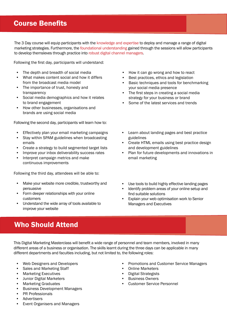# Course Benefits

The 3 Day course will equip participants with the knowledge and expertise to deploy and manage a range of digital marketing strategies. Furthermore, the foundational understanding gained through the sessions will allow participants to develop themsleves through practice into robust digital channel managers.

Following the first day, participants will understand:

- The depth and breadth of social media
- What makes content social and how it differs from the broadcast media model
- The importance of trust, honesty and transparency
- Social media demographics and how it relates to brand engagement
- How other businesses, organisations and brands are using social media

Following the second day, participants will learn how to:

- Effectively plan your email marketing campaigns
- Stay within SPAM guidelines when broadcasting emails
- Create a strategy to build segmented target lists
- Improve your inbox deliverability success rates
- Interpret campaign metrics and make continuous improvements

Following the third day, attendees will be able to:

- Make your website more credible, trustworthy and persuasive
- Form deeper relationships with your online customers
- Understand the wide array of tools available to improve your website

# Who Should Attend

This Digital Marketing Masterclass will benefit a wide range of personnel and team members, involved in many different areas of a business or organisation. The skills learnt during the three days can be applicable in many different departments and faculties including, but not limited to, the following roles:

- Web Designers and Developers
- Sales and Marketing Staff
- Marketing Executives
- Junior Digital Marketers
- Marketing Graduates
- Business Development Managers
- PR Professionals
- **Advertisers**
- Event Organisers and Managers
- How it can go wrong and how to react
- Best practices, ethics and legislation
- Basic techniques and tools for benchmarking your social media presence
- The first steps in creating a social media strategy for your business or brand
- Some of the latest services and trends
- Learn about landing pages and best practice guidelines
- Create HTML emails using best practice design and development guidelines
- Plan for future developments and innovations in email marketing
- Use tools to build highly effective landing pages
- Identify problem areas of your online setup and find suitable solutions
- Explain your web optimisation work to Senior Managers and Executives

- Promotions and Customer Service Managers
- Online Marketers
- Digital Strategists
- Business Owners
- Customer Service Personnel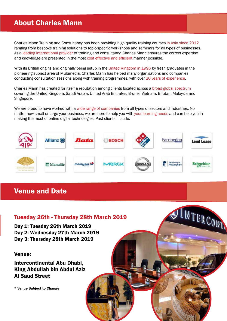# About Charles Mann

Charles Mann Training and Consultancy has been providing high quality training courses in Asia since 2012, ranging from bespoke training solutions to topic-specific workshops and seminars for all types of businesses. As a leading international provider of training and consultancy, Charles Mann ensures the correct expertise and knowledge are presented in the most cost effective and efficient manner possible.

With its British origins and originally being setup in the United Kingdom in 1996 by fresh graduates in the pioneering subject area of Multimedia, Charles Mann has helped many organisations and companies conducting consultation sessions along with training programmes, with over 20 years of experience.

Charles Mann has created for itself a reputation among clients located across a broad global spectrum covering the United Kingdom, Saudi Arabia, United Arab Emirates, Brunei, Vietnam, Bhutan, Malaysia and Singapore.

We are proud to have worked with a wide range of companies from all types of sectors and industries. No matter how small or large your business, we are here to help you with your learning needs and can help you in making the most of online digital technologies. Past clients include:



JUTERCORT

### Venue and Date

### Tuesday 26th - Thursday 28th March 2019

Day 1: Tuesday 26th March 2019 Day 2: Wednesday 27th March 2019 Day 3: Thursday 28th March 2019

#### Venue:

Intercontinental Abu Dhabi, King Abdullah bin Abdul Aziz Al Saud Street

\* Venue Subject to Change